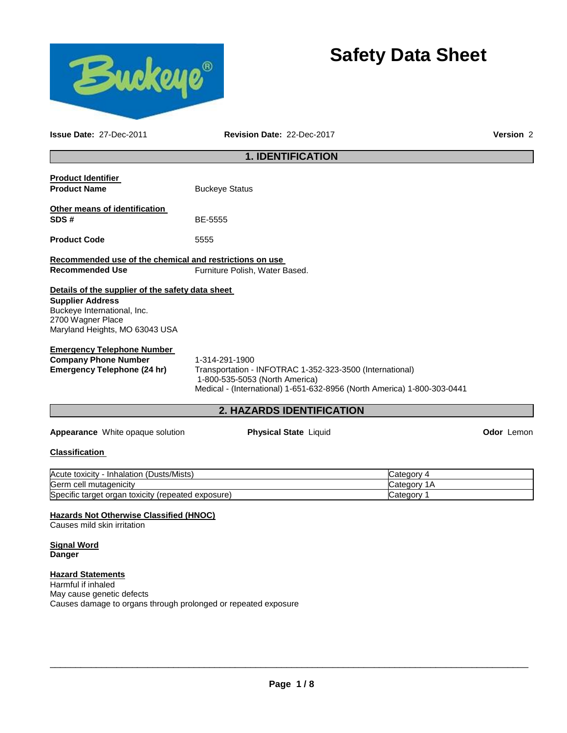

# **Safety Data Sheet**

**Issue Date:** 27-Dec-2011 **Revision Date:** 22-Dec-2017 **Version** 2

## **1. IDENTIFICATION**

| <b>Product Identifier</b>                                                                                                                                         |                                                                                                                                                                                         |             |            |
|-------------------------------------------------------------------------------------------------------------------------------------------------------------------|-----------------------------------------------------------------------------------------------------------------------------------------------------------------------------------------|-------------|------------|
| <b>Product Name</b>                                                                                                                                               | <b>Buckeye Status</b>                                                                                                                                                                   |             |            |
| Other means of identification                                                                                                                                     |                                                                                                                                                                                         |             |            |
| SDS#                                                                                                                                                              | <b>BE-5555</b>                                                                                                                                                                          |             |            |
| <b>Product Code</b>                                                                                                                                               | 5555                                                                                                                                                                                    |             |            |
| Recommended use of the chemical and restrictions on use                                                                                                           |                                                                                                                                                                                         |             |            |
| <b>Recommended Use</b>                                                                                                                                            | Furniture Polish, Water Based.                                                                                                                                                          |             |            |
| Details of the supplier of the safety data sheet<br><b>Supplier Address</b><br>Buckeye International, Inc.<br>2700 Wagner Place<br>Maryland Heights, MO 63043 USA |                                                                                                                                                                                         |             |            |
| <b>Emergency Telephone Number</b><br><b>Company Phone Number</b><br><b>Emergency Telephone (24 hr)</b>                                                            | 1-314-291-1900<br>Transportation - INFOTRAC 1-352-323-3500 (International)<br>1-800-535-5053 (North America)<br>Medical - (International) 1-651-632-8956 (North America) 1-800-303-0441 |             |            |
|                                                                                                                                                                   | 2. HAZARDS IDENTIFICATION                                                                                                                                                               |             |            |
| Appearance White opaque solution                                                                                                                                  | <b>Physical State Liquid</b>                                                                                                                                                            |             | Odor Lemon |
| <b>Classification</b>                                                                                                                                             |                                                                                                                                                                                         |             |            |
| Acute toxicity - Inhalation (Dusts/Mists)                                                                                                                         |                                                                                                                                                                                         | Category 4  |            |
| Germ cell mutagenicity                                                                                                                                            |                                                                                                                                                                                         | Category 1A |            |
| Specific target organ toxicity (repeated exposure)                                                                                                                |                                                                                                                                                                                         | Category 1  |            |
| Hazards Not Otherwise Classified (HNOC)<br>Causes mild skin irritation                                                                                            |                                                                                                                                                                                         |             |            |
| <b>Signal Word</b><br><b>Danger</b>                                                                                                                               |                                                                                                                                                                                         |             |            |
| <b>Hazard Statements</b><br>Harmful if inhaled<br>May cause genetic defects<br>Causes damage to organs through prolonged or repeated exposure                     |                                                                                                                                                                                         |             |            |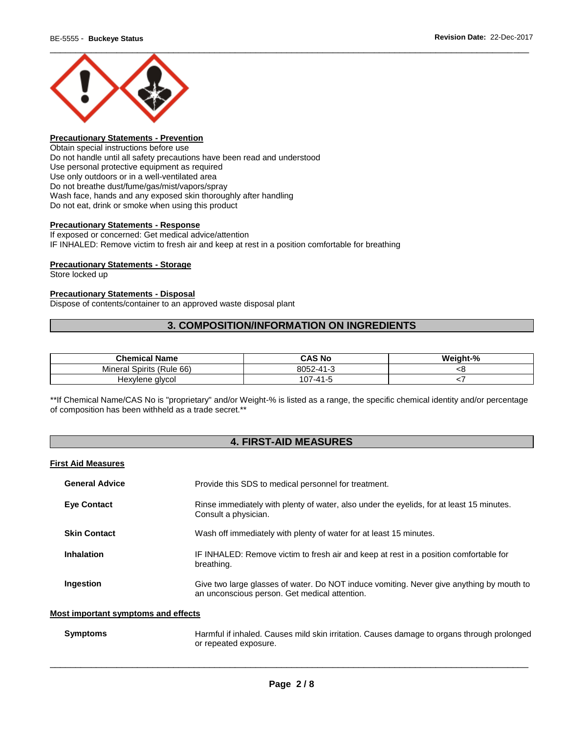

### **Precautionary Statements - Prevention**

Obtain special instructions before use Do not handle until all safety precautions have been read and understood Use personal protective equipment as required Use only outdoors or in a well-ventilated area Do not breathe dust/fume/gas/mist/vapors/spray Wash face, hands and any exposed skin thoroughly after handling Do not eat, drink or smoke when using this product

#### **Precautionary Statements - Response**

If exposed or concerned: Get medical advice/attention IF INHALED: Remove victim to fresh air and keep at rest in a position comfortable for breathing

#### **Precautionary Statements - Storage**

Store locked up

#### **Precautionary Statements - Disposal**

Dispose of contents/container to an approved waste disposal plant

### **3. COMPOSITION/INFORMATION ON INGREDIENTS**

| <b>Chemical Name</b>      | <b>CAS No</b> | Weight-% |
|---------------------------|---------------|----------|
| Mineral Spirits (Rule 66) | 8052-41-3     | ςσ       |
| Hexylene glycol           | 107-41-5      |          |

\*\*If Chemical Name/CAS No is "proprietary" and/or Weight-% is listed as a range, the specific chemical identity and/or percentage of composition has been withheld as a trade secret.\*\*

### **4. FIRST-AID MEASURES**

#### **First Aid Measures**

| <b>General Advice</b> | Provide this SDS to medical personnel for treatment.                                                                                      |
|-----------------------|-------------------------------------------------------------------------------------------------------------------------------------------|
| <b>Eye Contact</b>    | Rinse immediately with plenty of water, also under the eyelids, for at least 15 minutes.<br>Consult a physician.                          |
| <b>Skin Contact</b>   | Wash off immediately with plenty of water for at least 15 minutes.                                                                        |
| <b>Inhalation</b>     | IF INHALED: Remove victim to fresh air and keep at rest in a position comfortable for<br>breathing.                                       |
| Ingestion             | Give two large glasses of water. Do NOT induce vomiting. Never give anything by mouth to<br>an unconscious person. Get medical attention. |

#### **Most important symptoms and effects**

| Symptoms | Harmful if inhaled. Causes mild skin irritation. Causes damage to organs through prolonged |
|----------|--------------------------------------------------------------------------------------------|
|          | or repeated exposure.                                                                      |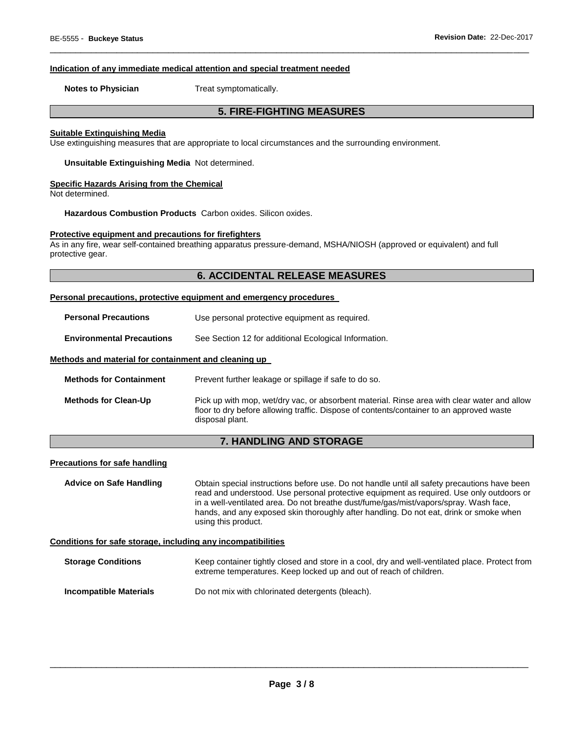#### **Indication of any immediate medical attention and special treatment needed**

**Notes to Physician**  Treat symptomatically.

### **5. FIRE-FIGHTING MEASURES**

\_\_\_\_\_\_\_\_\_\_\_\_\_\_\_\_\_\_\_\_\_\_\_\_\_\_\_\_\_\_\_\_\_\_\_\_\_\_\_\_\_\_\_\_\_\_\_\_\_\_\_\_\_\_\_\_\_\_\_\_\_\_\_\_\_\_\_\_\_\_\_\_\_\_\_\_\_\_\_\_\_\_\_\_\_\_\_\_\_\_\_\_\_

#### **Suitable Extinguishing Media**

Use extinguishing measures that are appropriate to local circumstances and the surrounding environment.

**Unsuitable Extinguishing Media** Not determined.

#### **Specific Hazards Arising from the Chemical**

Not determined.

**Hazardous Combustion Products** Carbon oxides. Silicon oxides.

#### **Protective equipment and precautions for firefighters**

As in any fire, wear self-contained breathing apparatus pressure-demand, MSHA/NIOSH (approved or equivalent) and full protective gear.

### **6. ACCIDENTAL RELEASE MEASURES**

#### **Personal precautions, protective equipment and emergency procedures**

| <b>Personal Precautions</b>                          | Use personal protective equipment as required.        |  |
|------------------------------------------------------|-------------------------------------------------------|--|
| <b>Environmental Precautions</b>                     | See Section 12 for additional Ecological Information. |  |
| Methods and material for containment and cleaning up |                                                       |  |

| <b>Methods for Containment</b> | Prevent further leakage or spillage if safe to do so.                                                                                                                                                      |
|--------------------------------|------------------------------------------------------------------------------------------------------------------------------------------------------------------------------------------------------------|
| <b>Methods for Clean-Up</b>    | Pick up with mop, wet/dry vac, or absorbent material. Rinse area with clear water and allow<br>floor to dry before allowing traffic. Dispose of contents/container to an approved waste<br>disposal plant. |

### **7. HANDLING AND STORAGE**

#### **Precautions for safe handling**

**Advice on Safe Handling** Obtain special instructions before use. Do not handle until all safety precautions have been read and understood. Use personal protective equipment as required. Use only outdoors or in a well-ventilated area. Do not breathe dust/fume/gas/mist/vapors/spray. Wash face, hands, and any exposed skin thoroughly after handling. Do not eat, drink or smoke when using this product.

#### **Conditions for safe storage, including any incompatibilities**

| <b>Storage Conditions</b> | Keep container tightly closed and store in a cool, dry and well-ventilated place. Protect from<br>extreme temperatures. Keep locked up and out of reach of children. |
|---------------------------|----------------------------------------------------------------------------------------------------------------------------------------------------------------------|
| Incompatible Materials    | Do not mix with chlorinated detergents (bleach).                                                                                                                     |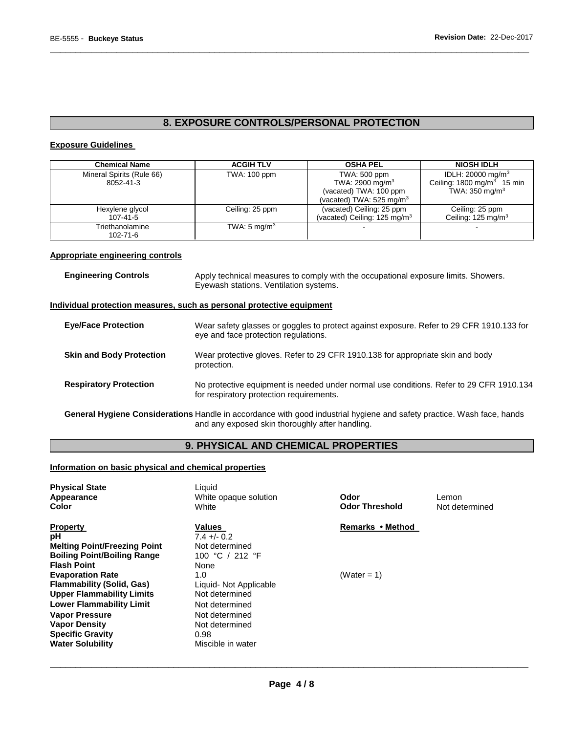## **8. EXPOSURE CONTROLS/PERSONAL PROTECTION**

\_\_\_\_\_\_\_\_\_\_\_\_\_\_\_\_\_\_\_\_\_\_\_\_\_\_\_\_\_\_\_\_\_\_\_\_\_\_\_\_\_\_\_\_\_\_\_\_\_\_\_\_\_\_\_\_\_\_\_\_\_\_\_\_\_\_\_\_\_\_\_\_\_\_\_\_\_\_\_\_\_\_\_\_\_\_\_\_\_\_\_\_\_

#### **Exposure Guidelines**

| <b>Chemical Name</b>      | <b>ACGIH TLV</b>        | <b>OSHA PEL</b>                     | <b>NIOSH IDLH</b>                     |
|---------------------------|-------------------------|-------------------------------------|---------------------------------------|
| Mineral Spirits (Rule 66) | TWA: 100 ppm            | TWA: 500 ppm                        | IDLH: 20000 mg/m <sup>3</sup>         |
| 8052-41-3                 |                         | TWA: 2900 mg/m <sup>3</sup>         | Ceiling: $1800 \text{ mg/m}^3$ 15 min |
|                           |                         | (vacated) TWA: 100 ppm              | TWA: $350 \text{ mg/m}^3$             |
|                           |                         | (vacated) TWA: $525 \text{ mg/m}^3$ |                                       |
| Hexylene glycol           | Ceiling: 25 ppm         | (vacated) Ceiling: 25 ppm           | Ceiling: 25 ppm                       |
| $107 - 41 - 5$            |                         | (vacated) Ceiling: 125 mg/m $3$     | Ceiling: 125 mg/m <sup>3</sup>        |
| Triethanolamine           | TWA: $5 \text{ mg/m}^3$ |                                     |                                       |
| 102-71-6                  |                         |                                     |                                       |

### **Appropriate engineering controls**

| <b>Engineering Controls</b>     | Apply technical measures to comply with the occupational exposure limits. Showers.<br>Eyewash stations. Ventilation systems.        |
|---------------------------------|-------------------------------------------------------------------------------------------------------------------------------------|
|                                 | Individual protection measures, such as personal protective equipment                                                               |
| <b>Eye/Face Protection</b>      | Wear safety glasses or goggles to protect against exposure. Refer to 29 CFR 1910.133 for<br>eye and face protection regulations.    |
| <b>Skin and Body Protection</b> | Wear protective gloves. Refer to 29 CFR 1910.138 for appropriate skin and body<br>protection.                                       |
| <b>Respiratory Protection</b>   | No protective equipment is needed under normal use conditions. Refer to 29 CFR 1910.134<br>for respiratory protection requirements. |

**General Hygiene Considerations** Handle in accordance with good industrial hygiene and safety practice. Wash face, hands and any exposed skin thoroughly after handling.

### **9. PHYSICAL AND CHEMICAL PROPERTIES**

#### **Information on basic physical and chemical properties**

| <b>Physical State</b><br><b>Appearance</b><br>Color                                                                                                                                                                                       | Liquid<br>White opaque solution<br>White                                                                                           | Odor<br><b>Odor Threshold</b> | Lemon<br>Not determined |
|-------------------------------------------------------------------------------------------------------------------------------------------------------------------------------------------------------------------------------------------|------------------------------------------------------------------------------------------------------------------------------------|-------------------------------|-------------------------|
| <b>Property</b><br>рH<br><b>Melting Point/Freezing Point</b><br><b>Boiling Point/Boiling Range</b><br><b>Flash Point</b>                                                                                                                  | Values<br>$7.4 + (-0.2)$<br>Not determined<br>100 °C / 212 °F<br>None                                                              | Remarks • Method              |                         |
| <b>Evaporation Rate</b><br><b>Flammability (Solid, Gas)</b><br><b>Upper Flammability Limits</b><br><b>Lower Flammability Limit</b><br><b>Vapor Pressure</b><br><b>Vapor Density</b><br><b>Specific Gravity</b><br><b>Water Solubility</b> | 1.0<br>Liquid- Not Applicable<br>Not determined<br>Not determined<br>Not determined<br>Not determined<br>0.98<br>Miscible in water | (Water = 1)                   |                         |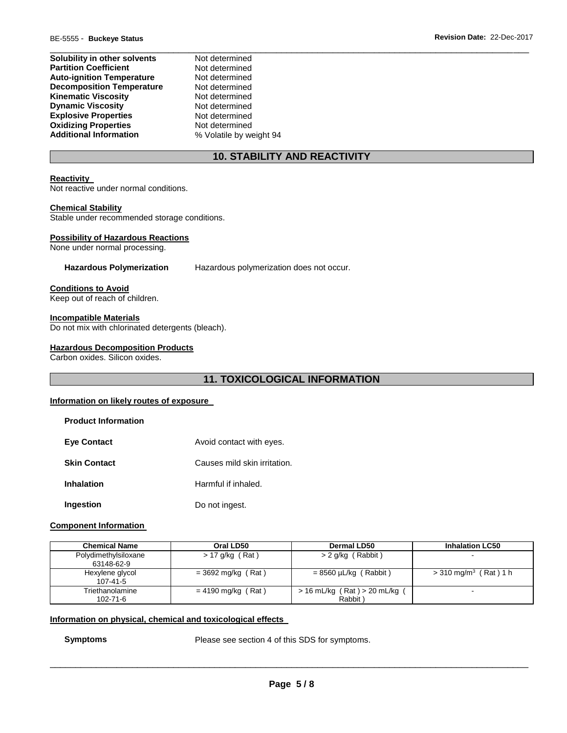| Solubility in other solvents     |  |
|----------------------------------|--|
| <b>Partition Coefficient</b>     |  |
| <b>Auto-ignition Temperature</b> |  |
| <b>Decomposition Temperature</b> |  |
| <b>Kinematic Viscosity</b>       |  |
| <b>Dynamic Viscosity</b>         |  |
| <b>Explosive Properties</b>      |  |
| <b>Oxidizing Properties</b>      |  |
| <b>Additional Information</b>    |  |

**Not determined Not determined Not determined Not determined Not determined Not determined Not determined Not determined Additional Information** % Volatile by weight 94

### **10. STABILITY AND REACTIVITY**

\_\_\_\_\_\_\_\_\_\_\_\_\_\_\_\_\_\_\_\_\_\_\_\_\_\_\_\_\_\_\_\_\_\_\_\_\_\_\_\_\_\_\_\_\_\_\_\_\_\_\_\_\_\_\_\_\_\_\_\_\_\_\_\_\_\_\_\_\_\_\_\_\_\_\_\_\_\_\_\_\_\_\_\_\_\_\_\_\_\_\_\_\_

#### **Reactivity**

Not reactive under normal conditions.

#### **Chemical Stability**

Stable under recommended storage conditions.

#### **Possibility of Hazardous Reactions**

None under normal processing.

**Hazardous Polymerization** Hazardous polymerization does not occur.

#### **Conditions to Avoid**

Keep out of reach of children.

#### **Incompatible Materials**

Do not mix with chlorinated detergents (bleach).

#### **Hazardous Decomposition Products**

Carbon oxides. Silicon oxides.

### **11. TOXICOLOGICAL INFORMATION**

#### **Information on likely routes of exposure**

| <b>Product Information</b> |                              |
|----------------------------|------------------------------|
| <b>Eve Contact</b>         | Avoid contact with eyes.     |
| <b>Skin Contact</b>        | Causes mild skin irritation. |
| Inhalation                 | Harmful if inhaled.          |
| Ingestion                  | Do not ingest.               |

#### **Component Information**

| <b>Chemical Name</b>               | Oral LD50            | Dermal LD50                                  | <b>Inhalation LC50</b>              |
|------------------------------------|----------------------|----------------------------------------------|-------------------------------------|
| Polydimethylsiloxane<br>63148-62-9 | > 17 g/kg (Rat)      | > 2 g/kg (Rabbit)                            |                                     |
| Hexylene glycol<br>$107 - 41 - 5$  | $=$ 3692 mg/kg (Rat) | $= 8560 \mu L/kg$ (Rabbit)                   | $>$ 310 mg/m <sup>3</sup> (Rat) 1 h |
| Triethanolamine<br>102-71-6        | $= 4190$ mg/kg (Rat) | $> 16$ mL/kg (Rat) $> 20$ mL/kg (<br>Rabbit) | -                                   |

#### **Information on physical, chemical and toxicological effects**

**Symptoms** Please see section 4 of this SDS for symptoms.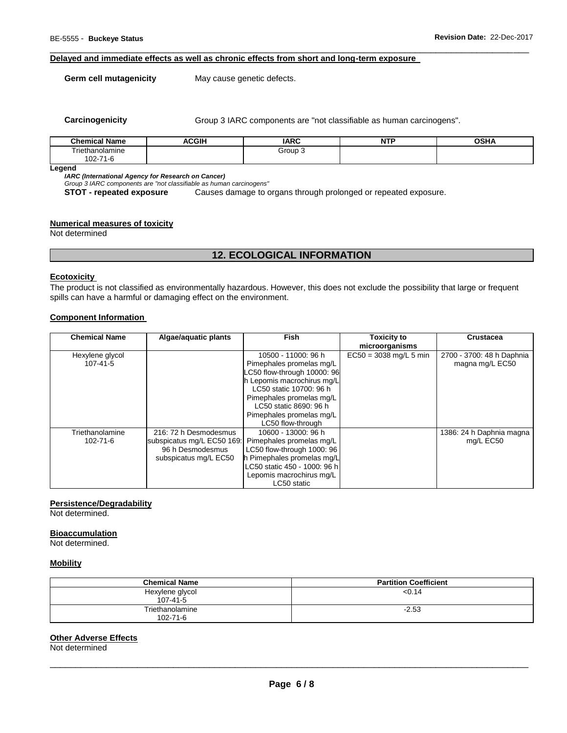#### **Delayed and immediate effects as well as chronic effects from short and long-term exposure**

**Germ cell mutagenicity** May cause genetic defects.

**Carcinogenicity Group 3 IARC components are "not classifiable as human carcinogens".** 

| <b>Chamical</b><br><b>Name</b>    | <b>ACGIH</b><br>A.<br>___ | <b>IARC</b> | A FORM<br>. | <b>OCU</b><br>אחט∪<br>$ -$ |
|-----------------------------------|---------------------------|-------------|-------------|----------------------------|
| Friethanolamine                   |                           | Group<br>   |             |                            |
| $02 - 7$<br>7 <sub>2</sub><br>1 C |                           |             |             |                            |

\_\_\_\_\_\_\_\_\_\_\_\_\_\_\_\_\_\_\_\_\_\_\_\_\_\_\_\_\_\_\_\_\_\_\_\_\_\_\_\_\_\_\_\_\_\_\_\_\_\_\_\_\_\_\_\_\_\_\_\_\_\_\_\_\_\_\_\_\_\_\_\_\_\_\_\_\_\_\_\_\_\_\_\_\_\_\_\_\_\_\_\_\_

**Legend** 

*IARC (International Agency for Research on Cancer)*

*Group 3 IARC components are "not classifiable as human carcinogens"* 

**STOT - repeated exposure** Causes damage to organs through prolonged or repeated exposure.

#### **Numerical measures of toxicity**

Not determined

### **12. ECOLOGICAL INFORMATION**

#### **Ecotoxicity**

The product is not classified as environmentally hazardous. However, this does not exclude the possibility that large or frequent spills can have a harmful or damaging effect on the environment.

#### **Component Information**

| <b>Chemical Name</b> | Algae/aquatic plants       | <b>Fish</b>                  | <b>Toxicity to</b>       | <b>Crustacea</b>          |
|----------------------|----------------------------|------------------------------|--------------------------|---------------------------|
|                      |                            |                              | microorganisms           |                           |
| Hexylene glycol      |                            | 10500 - 11000: 96 h          | $EC50 = 3038$ mg/L 5 min | 2700 - 3700: 48 h Daphnia |
| $107 - 41 - 5$       |                            | Pimephales promelas mg/L     |                          | magna mg/L EC50           |
|                      |                            | LC50 flow-through 10000: 96  |                          |                           |
|                      |                            | h Lepomis macrochirus mg/L   |                          |                           |
|                      |                            | LC50 static 10700: 96 h      |                          |                           |
|                      |                            | Pimephales promelas mg/L     |                          |                           |
|                      |                            | LC50 static 8690: 96 h       |                          |                           |
|                      |                            | Pimephales promelas mg/L     |                          |                           |
|                      |                            | LC50 flow-through            |                          |                           |
| Triethanolamine      | 216: 72 h Desmodesmus      | 10600 - 13000: 96 h          |                          | 1386: 24 h Daphnia magna  |
| $102 - 71 - 6$       | subspicatus mg/L EC50 169: | Pimephales promelas mg/L     |                          | mg/L EC50                 |
|                      | 96 h Desmodesmus           | LC50 flow-through 1000: 96   |                          |                           |
|                      | subspicatus mg/L EC50      | h Pimephales promelas mg/L   |                          |                           |
|                      |                            | LC50 static 450 - 1000: 96 h |                          |                           |
|                      |                            | Lepomis macrochirus mg/L     |                          |                           |
|                      |                            | LC50 static                  |                          |                           |

#### **Persistence/Degradability**

Not determined.

**Bioaccumulation**

Not determined.

## **Mobility**

| <b>Chemical Name</b>        | <b>Partition Coefficient</b> |
|-----------------------------|------------------------------|
| Hexylene glycol<br>107-41-5 | < 0.14                       |
| Triethanolamine             | $-2.53$                      |
| 102-71-6                    |                              |

#### **Other Adverse Effects**

Not determined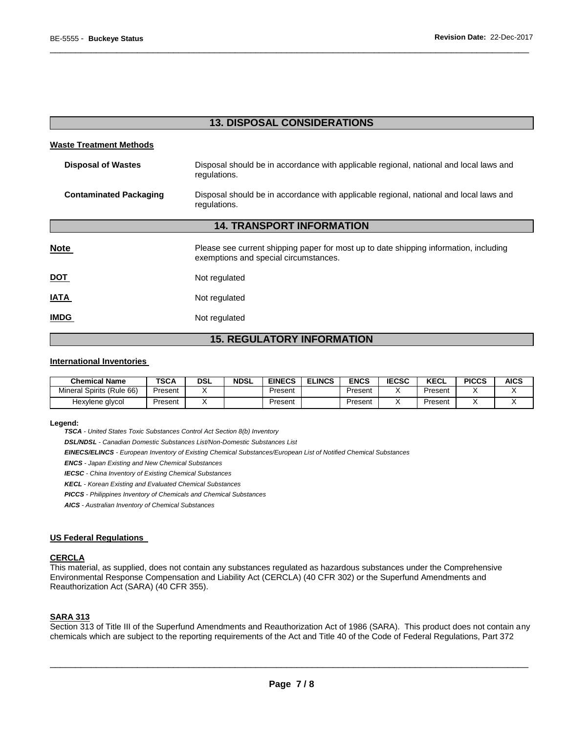| <b>13. DISPOSAL CONSIDERATIONS</b> |
|------------------------------------|

\_\_\_\_\_\_\_\_\_\_\_\_\_\_\_\_\_\_\_\_\_\_\_\_\_\_\_\_\_\_\_\_\_\_\_\_\_\_\_\_\_\_\_\_\_\_\_\_\_\_\_\_\_\_\_\_\_\_\_\_\_\_\_\_\_\_\_\_\_\_\_\_\_\_\_\_\_\_\_\_\_\_\_\_\_\_\_\_\_\_\_\_\_

#### **Waste Treatment Methods**

| <b>Disposal of Wastes</b>        | Disposal should be in accordance with applicable regional, national and local laws and<br>regulations.                         |  |  |  |  |
|----------------------------------|--------------------------------------------------------------------------------------------------------------------------------|--|--|--|--|
| <b>Contaminated Packaging</b>    | Disposal should be in accordance with applicable regional, national and local laws and<br>regulations.                         |  |  |  |  |
| <b>14. TRANSPORT INFORMATION</b> |                                                                                                                                |  |  |  |  |
| <b>Note</b>                      | Please see current shipping paper for most up to date shipping information, including<br>exemptions and special circumstances. |  |  |  |  |
| <u>DOT</u>                       | Not regulated                                                                                                                  |  |  |  |  |
| <b>ATAI</b>                      | Not regulated                                                                                                                  |  |  |  |  |
| <b>IMDG</b>                      | Not regulated                                                                                                                  |  |  |  |  |

### **15. REGULATORY INFORMATION**

#### **International Inventories**

| <b>Chemical Name</b>      | TSCA    | DSL | <b>NDSL</b> | <b>EINECS</b> | <b>ELINCS</b> | <b>ENCS</b> | <b>IECSC</b> | <b>KECL</b> | <b>PICCS</b> | <b>AICS</b> |
|---------------------------|---------|-----|-------------|---------------|---------------|-------------|--------------|-------------|--------------|-------------|
| Mineral Spirits (Rule 66) | Present |     |             | Present       |               | Present     |              | Present     |              |             |
| Hexylene glycol           | Present |     |             | Present       |               | Present     |              | Present     |              |             |

#### **Legend:**

*TSCA - United States Toxic Substances Control Act Section 8(b) Inventory* 

*DSL/NDSL - Canadian Domestic Substances List/Non-Domestic Substances List* 

*EINECS/ELINCS - European Inventory of Existing Chemical Substances/European List of Notified Chemical Substances* 

*ENCS - Japan Existing and New Chemical Substances* 

*IECSC - China Inventory of Existing Chemical Substances* 

*KECL - Korean Existing and Evaluated Chemical Substances* 

*PICCS - Philippines Inventory of Chemicals and Chemical Substances* 

*AICS - Australian Inventory of Chemical Substances* 

#### **US Federal Regulations**

#### **CERCLA**

This material, as supplied, does not contain any substances regulated as hazardous substances under the Comprehensive Environmental Response Compensation and Liability Act (CERCLA) (40 CFR 302) or the Superfund Amendments and Reauthorization Act (SARA) (40 CFR 355).

#### **SARA 313**

Section 313 of Title III of the Superfund Amendments and Reauthorization Act of 1986 (SARA). This product does not contain any chemicals which are subject to the reporting requirements of the Act and Title 40 of the Code of Federal Regulations, Part 372